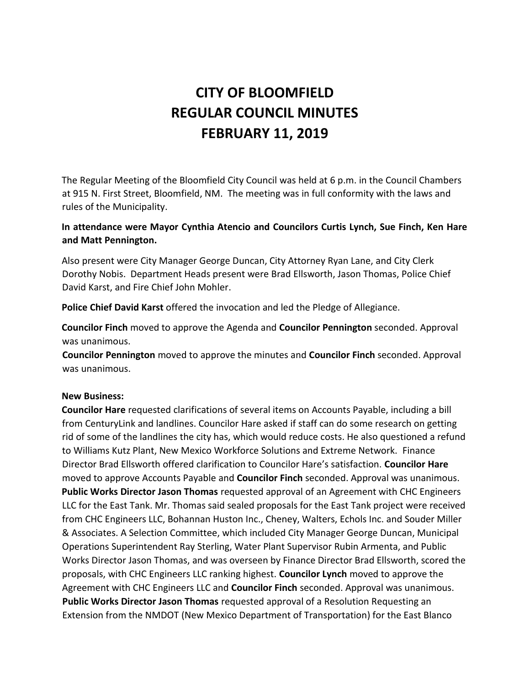# **CITY OF BLOOMFIELD REGULAR COUNCIL MINUTES FEBRUARY 11, 2019**

The Regular Meeting of the Bloomfield City Council was held at 6 p.m. in the Council Chambers at 915 N. First Street, Bloomfield, NM. The meeting was in full conformity with the laws and rules of the Municipality.

# **In attendance were Mayor Cynthia Atencio and Councilors Curtis Lynch, Sue Finch, Ken Hare and Matt Pennington.**

Also present were City Manager George Duncan, City Attorney Ryan Lane, and City Clerk Dorothy Nobis. Department Heads present were Brad Ellsworth, Jason Thomas, Police Chief David Karst, and Fire Chief John Mohler.

**Police Chief David Karst** offered the invocation and led the Pledge of Allegiance.

**Councilor Finch** moved to approve the Agenda and **Councilor Pennington** seconded. Approval was unanimous.

**Councilor Pennington** moved to approve the minutes and **Councilor Finch** seconded. Approval was unanimous.

## **New Business:**

**Councilor Hare** requested clarifications of several items on Accounts Payable, including a bill from CenturyLink and landlines. Councilor Hare asked if staff can do some research on getting rid of some of the landlines the city has, which would reduce costs. He also questioned a refund to Williams Kutz Plant, New Mexico Workforce Solutions and Extreme Network. Finance Director Brad Ellsworth offered clarification to Councilor Hare's satisfaction. **Councilor Hare** moved to approve Accounts Payable and **Councilor Finch** seconded. Approval was unanimous. **Public Works Director Jason Thomas** requested approval of an Agreement with CHC Engineers LLC for the East Tank. Mr. Thomas said sealed proposals for the East Tank project were received from CHC Engineers LLC, Bohannan Huston Inc., Cheney, Walters, Echols Inc. and Souder Miller & Associates. A Selection Committee, which included City Manager George Duncan, Municipal Operations Superintendent Ray Sterling, Water Plant Supervisor Rubin Armenta, and Public Works Director Jason Thomas, and was overseen by Finance Director Brad Ellsworth, scored the proposals, with CHC Engineers LLC ranking highest. **Councilor Lynch** moved to approve the Agreement with CHC Engineers LLC and **Councilor Finch** seconded. Approval was unanimous. **Public Works Director Jason Thomas** requested approval of a Resolution Requesting an Extension from the NMDOT (New Mexico Department of Transportation) for the East Blanco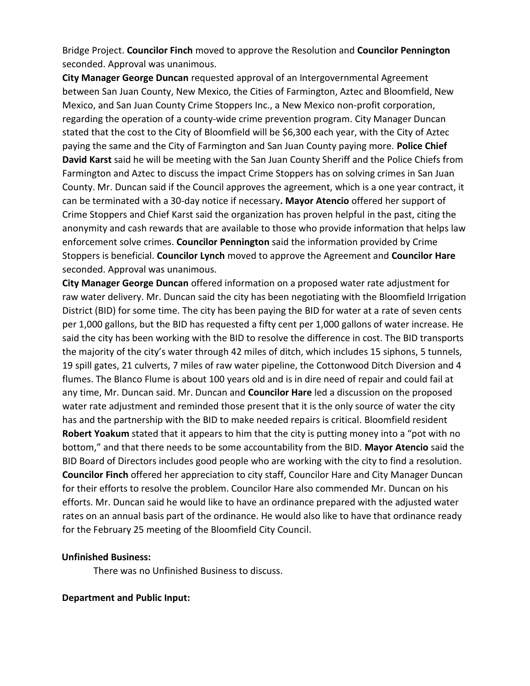Bridge Project. **Councilor Finch** moved to approve the Resolution and **Councilor Pennington** seconded. Approval was unanimous.

**City Manager George Duncan** requested approval of an Intergovernmental Agreement between San Juan County, New Mexico, the Cities of Farmington, Aztec and Bloomfield, New Mexico, and San Juan County Crime Stoppers Inc., a New Mexico non-profit corporation, regarding the operation of a county-wide crime prevention program. City Manager Duncan stated that the cost to the City of Bloomfield will be \$6,300 each year, with the City of Aztec paying the same and the City of Farmington and San Juan County paying more. **Police Chief David Karst** said he will be meeting with the San Juan County Sheriff and the Police Chiefs from Farmington and Aztec to discuss the impact Crime Stoppers has on solving crimes in San Juan County. Mr. Duncan said if the Council approves the agreement, which is a one year contract, it can be terminated with a 30-day notice if necessary**. Mayor Atencio** offered her support of Crime Stoppers and Chief Karst said the organization has proven helpful in the past, citing the anonymity and cash rewards that are available to those who provide information that helps law enforcement solve crimes. **Councilor Pennington** said the information provided by Crime Stoppers is beneficial. **Councilor Lynch** moved to approve the Agreement and **Councilor Hare** seconded. Approval was unanimous.

**City Manager George Duncan** offered information on a proposed water rate adjustment for raw water delivery. Mr. Duncan said the city has been negotiating with the Bloomfield Irrigation District (BID) for some time. The city has been paying the BID for water at a rate of seven cents per 1,000 gallons, but the BID has requested a fifty cent per 1,000 gallons of water increase. He said the city has been working with the BID to resolve the difference in cost. The BID transports the majority of the city's water through 42 miles of ditch, which includes 15 siphons, 5 tunnels, 19 spill gates, 21 culverts, 7 miles of raw water pipeline, the Cottonwood Ditch Diversion and 4 flumes. The Blanco Flume is about 100 years old and is in dire need of repair and could fail at any time, Mr. Duncan said. Mr. Duncan and **Councilor Hare** led a discussion on the proposed water rate adjustment and reminded those present that it is the only source of water the city has and the partnership with the BID to make needed repairs is critical. Bloomfield resident **Robert Yoakum** stated that it appears to him that the city is putting money into a "pot with no bottom," and that there needs to be some accountability from the BID. **Mayor Atencio** said the BID Board of Directors includes good people who are working with the city to find a resolution. **Councilor Finch** offered her appreciation to city staff, Councilor Hare and City Manager Duncan for their efforts to resolve the problem. Councilor Hare also commended Mr. Duncan on his efforts. Mr. Duncan said he would like to have an ordinance prepared with the adjusted water rates on an annual basis part of the ordinance. He would also like to have that ordinance ready for the February 25 meeting of the Bloomfield City Council.

#### **Unfinished Business:**

There was no Unfinished Business to discuss.

## **Department and Public Input:**